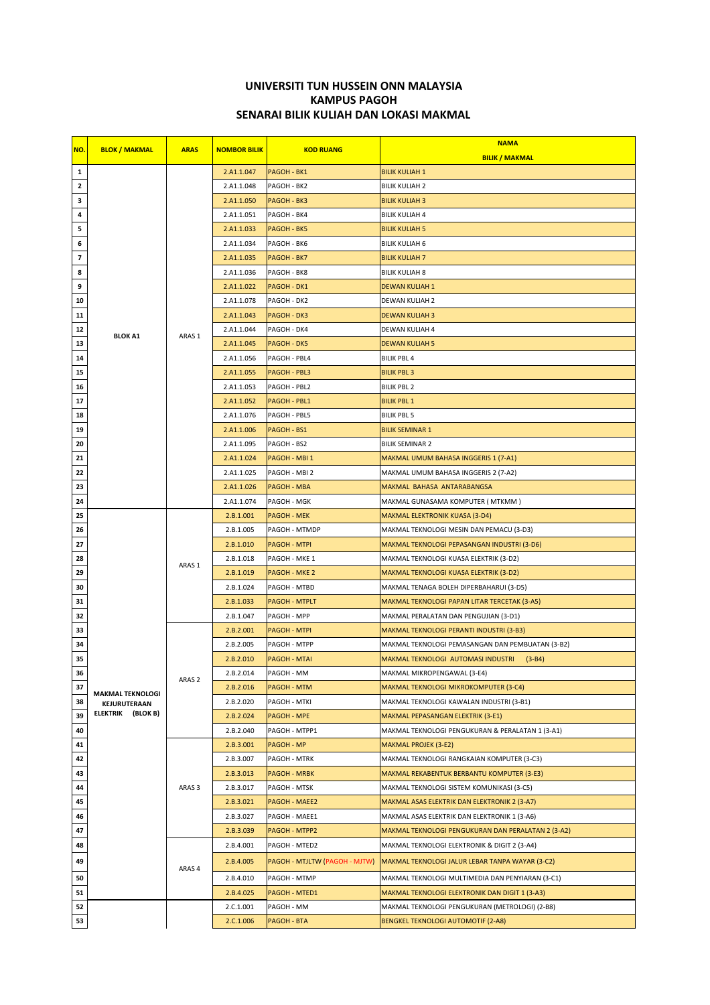## UNIVERSITI TUN HUSSEIN ONN MALAYSIA SENARAI BILIK KULIAH DAN LOKASI MAKMAL KAMPUS PAGOH

| NO.                      | <b>BLOK / MAKMAL</b>    | <b>ARAS</b>       |                     |                               | <b>NAMA</b>                                        |
|--------------------------|-------------------------|-------------------|---------------------|-------------------------------|----------------------------------------------------|
|                          |                         |                   | <b>NOMBOR BILIK</b> | <b>KOD RUANG</b>              | <b>BILIK / MAKMAL</b>                              |
| 1                        |                         | ARAS 1            | 2.A1.1.047          | PAGOH - BK1                   | <b>BILIK KULIAH 1</b>                              |
| $\overline{2}$           |                         |                   | 2.A1.1.048          | PAGOH - BK2                   | <b>BILIK KULIAH 2</b>                              |
| 3                        |                         |                   | 2.A1.1.050          | PAGOH - BK3                   | <b>BILIK KULIAH 3</b>                              |
| 4                        |                         |                   | 2.A1.1.051          | PAGOH - BK4                   | <b>BILIK KULIAH 4</b>                              |
| 5                        |                         |                   | 2.A1.1.033          | <b>PAGOH - BK5</b>            | <b>BILIK KULIAH 5</b>                              |
| 6                        |                         |                   | 2.A1.1.034          | PAGOH - BK6                   | <b>BILIK KULIAH 6</b>                              |
| $\overline{\phantom{a}}$ |                         |                   | 2.A1.1.035          | PAGOH - BK7                   | <b>BILIK KULIAH 7</b>                              |
| 8                        |                         |                   | 2.A1.1.036          | PAGOH - BK8                   | <b>BILIK KULIAH 8</b>                              |
| 9                        |                         |                   | 2.A1.1.022          | PAGOH - DK1                   | <b>DEWAN KULIAH 1</b>                              |
| 10                       |                         |                   | 2.A1.1.078          | PAGOH - DK2                   | DEWAN KULIAH 2                                     |
| 11                       |                         |                   | 2.A1.1.043          | PAGOH - DK3                   | DEWAN KULIAH 3                                     |
| 12                       | <b>BLOK A1</b>          |                   | 2.A1.1.044          | PAGOH - DK4                   | DEWAN KULIAH 4                                     |
| 13                       |                         |                   | 2.A1.1.045          | <b>PAGOH - DK5</b>            | <b>DEWAN KULIAH 5</b>                              |
| 14                       |                         |                   | 2.A1.1.056          | PAGOH - PBL4                  | BILIK PBL 4                                        |
| 15                       |                         |                   | 2.A1.1.055          | PAGOH - PBL3                  | <b>BILIK PBL 3</b>                                 |
| 16                       |                         |                   | 2.A1.1.053          | PAGOH - PBL2                  | BILIK PBL 2                                        |
| 17                       |                         |                   | 2.A1.1.052          | PAGOH - PBL1                  | <b>BILIK PBL 1</b>                                 |
| 18                       |                         |                   | 2.A1.1.076          | PAGOH - PBL5                  | BILIK PBL 5                                        |
| 19                       |                         |                   | 2.A1.1.006          | PAGOH - BS1                   | <b>BILIK SEMINAR 1</b>                             |
| 20                       |                         |                   | 2.A1.1.095          | PAGOH - BS2                   | BILIK SEMINAR 2                                    |
| 21                       |                         |                   | 2.A1.1.024          | PAGOH - MBI 1                 | MAKMAL UMUM BAHASA INGGERIS 1 (7-A1)               |
| 22                       |                         |                   | 2.A1.1.025          | PAGOH - MBI 2                 | MAKMAL UMUM BAHASA INGGERIS 2 (7-A2)               |
| 23                       |                         |                   | 2.A1.1.026          | <b>PAGOH - MBA</b>            | MAKMAL BAHASA ANTARABANGSA                         |
| 24                       |                         |                   | 2.A1.1.074          | PAGOH - MGK                   | MAKMAL GUNASAMA KOMPUTER ( MTKMM )                 |
| 25                       |                         |                   | 2.B.1.001           | <b>PAGOH - MEK</b>            | MAKMAL ELEKTRONIK KUASA (3-D4)                     |
| 26                       |                         |                   | 2.B.1.005           | PAGOH - MTMDP                 | MAKMAL TEKNOLOGI MESIN DAN PEMACU (3-D3)           |
| 27                       |                         |                   | 2.B.1.010           | <b>PAGOH - MTPI</b>           | MAKMAL TEKNOLOGI PEPASANGAN INDUSTRI (3-D6)        |
| 28                       |                         | ARAS 1            | 2.B.1.018           | PAGOH - MKE 1                 | MAKMAL TEKNOLOGI KUASA ELEKTRIK (3-D2)             |
| 29                       |                         |                   | 2.B.1.019           | <b>PAGOH - MKE 2</b>          | MAKMAL TEKNOLOGI KUASA ELEKTRIK (3-D2)             |
| 30                       |                         |                   | 2.B.1.024           | PAGOH - MTBD                  | MAKMAL TENAGA BOLEH DIPERBAHARUI (3-D5)            |
| 31                       |                         |                   | 2.B.1.033           | <b>PAGOH - MTPLT</b>          | MAKMAL TEKNOLOGI PAPAN LITAR TERCETAK (3-A5)       |
| 32                       |                         |                   | 2.B.1.047           | PAGOH - MPP                   | MAKMAL PERALATAN DAN PENGUJIAN (3-D1)              |
| 33                       |                         | ARAS <sub>2</sub> | 2.B.2.001           | <b>PAGOH - MTPI</b>           | MAKMAL TEKNOLOGI PERANTI INDUSTRI (3-B3)           |
| 34                       |                         |                   | 2.B.2.005           | PAGOH - MTPP                  | MAKMAL TEKNOLOGI PEMASANGAN DAN PEMBUATAN (3-B2)   |
| 35                       |                         |                   | 2.B.2.010           | <b>PAGOH - MTAI</b>           | MAKMAL TEKNOLOGI AUTOMASI INDUSTRI<br>$(3 - B4)$   |
| 36                       |                         |                   | 2.B.2.014           | PAGOH - MM                    | MAKMAL MIKROPENGAWAL (3-E4)                        |
| 37                       | <b>MAKMAL TEKNOLOGI</b> |                   | 2.B.2.016           | <b>PAGOH - MTM</b>            | MAKMAL TEKNOLOGI MIKROKOMPUTER (3-C4)              |
| 38                       | KEJURUTERAAN            |                   | 2.B.2.020           | PAGOH - MTKI                  | MAKMAL TEKNOLOGI KAWALAN INDUSTRI (3-B1)           |
| 39                       | ELEKTRIK (BLOK B)       |                   | 2.B.2.024           | <b>PAGOH - MPE</b>            | MAKMAL PEPASANGAN ELEKTRIK (3-E1)                  |
| 40                       |                         |                   | 2.B.2.040           | PAGOH - MTPP1                 | MAKMAL TEKNOLOGI PENGUKURAN & PERALATAN 1 (3-A1)   |
| 41                       |                         | ARAS <sub>3</sub> | 2.B.3.001           | <b>PAGOH - MP</b>             | <b>MAKMAL PROJEK (3-E2)</b>                        |
| 42                       |                         |                   | 2.B.3.007           | PAGOH - MTRK                  | MAKMAL TEKNOLOGI RANGKAIAN KOMPUTER (3-C3)         |
| 43                       |                         |                   | 2.B.3.013           | <b>PAGOH - MRBK</b>           | <b>MAKMAL REKABENTUK BERBANTU KOMPUTER (3-E3)</b>  |
| 44                       |                         |                   | 2.B.3.017           | PAGOH - MTSK                  | MAKMAL TEKNOLOGI SISTEM KOMUNIKASI (3-C5)          |
| 45                       |                         |                   | 2.B.3.021           | <b>PAGOH - MAEE2</b>          | MAKMAL ASAS ELEKTRIK DAN ELEKTRONIK 2 (3-A7)       |
| 46                       |                         |                   | 2.B.3.027           | PAGOH - MAEE1                 | MAKMAL ASAS ELEKTRIK DAN ELEKTRONIK 1 (3-A6)       |
| 47                       |                         |                   | 2.B.3.039           | PAGOH - MTPP2                 | MAKMAL TEKNOLOGI PENGUKURAN DAN PERALATAN 2 (3-A2) |
| 48                       |                         | ARAS 4            | 2.B.4.001           | PAGOH - MTED2                 | MAKMAL TEKNOLOGI ELEKTRONIK & DIGIT 2 (3-A4)       |
| 49                       |                         |                   | 2.B.4.005           | PAGOH - MTJLTW (PAGOH - MJTW) | MAKMAL TEKNOLOGI JALUR LEBAR TANPA WAYAR (3-C2)    |
| 50                       |                         |                   | 2.B.4.010           | PAGOH - MTMP                  | MAKMAL TEKNOLOGI MULTIMEDIA DAN PENYIARAN (3-C1)   |
| 51                       |                         |                   | 2.B.4.025           | PAGOH - MTED1                 | MAKMAL TEKNOLOGI ELEKTRONIK DAN DIGIT 1 (3-A3)     |
| 52                       |                         |                   | 2.C.1.001           | PAGOH - MM                    | MAKMAL TEKNOLOGI PENGUKURAN (METROLOGI) (2-B8)     |
| 53                       |                         |                   | 2.C.1.006           | PAGOH - BTA                   | <b>BENGKEL TEKNOLOGI AUTOMOTIF (2-A8)</b>          |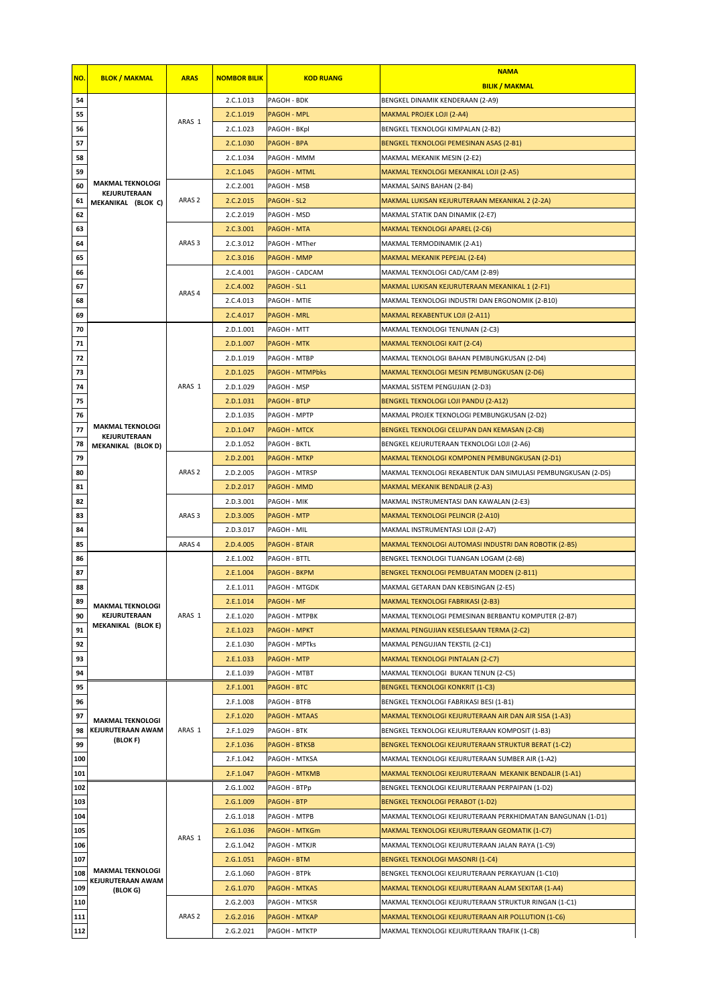|     |                                    |                   |                     |                        | <b>NAMA</b>                                                  |
|-----|------------------------------------|-------------------|---------------------|------------------------|--------------------------------------------------------------|
| NO. | <b>BLOK / MAKMAL</b>               | <b>ARAS</b>       | <b>NOMBOR BILIK</b> | <b>KOD RUANG</b>       | <b>BILIK / MAKMAL</b>                                        |
| 54  |                                    |                   | 2.C.1.013           | PAGOH - BDK            | BENGKEL DINAMIK KENDERAAN (2-A9)                             |
| 55  |                                    |                   | 2.C.1.019           | <b>PAGOH - MPL</b>     | <b>MAKMAL PROJEK LOJI (2-A4)</b>                             |
| 56  |                                    | ARAS 1            | 2.C.1.023           | PAGOH - BKpl           | BENGKEL TEKNOLOGI KIMPALAN (2-B2)                            |
| 57  |                                    |                   | 2.C.1.030           | PAGOH - BPA            | BENGKEL TEKNOLOGI PEMESINAN ASAS (2-B1)                      |
| 58  |                                    |                   | 2.C.1.034           | PAGOH - MMM            | MAKMAL MEKANIK MESIN (2-E2)                                  |
| 59  |                                    |                   | 2.C.1.045           | <b>PAGOH - MTML</b>    | MAKMAL TEKNOLOGI MEKANIKAL LOJI (2-A5)                       |
| 60  | <b>MAKMAL TEKNOLOGI</b>            |                   | 2.C.2.001           | PAGOH - MSB            | MAKMAL SAINS BAHAN (2-B4)                                    |
| 61  | KEJURUTERAAN<br>MEKANIKAL (BLOK C) | ARAS <sub>2</sub> | 2.C.2.015           | PAGOH - SL2            | MAKMAL LUKISAN KEJURUTERAAN MEKANIKAL 2 (2-2A)               |
| 62  |                                    |                   | 2.C.2.019           | PAGOH - MSD            | MAKMAL STATIK DAN DINAMIK (2-E7)                             |
| 63  |                                    |                   | 2.C.3.001           | PAGOH - MTA            | MAKMAL TEKNOLOGI APAREL (2-C6)                               |
| 64  |                                    | ARAS <sub>3</sub> | 2.C.3.012           | PAGOH - MTher          | MAKMAL TERMODINAMIK (2-A1)                                   |
| 65  |                                    |                   | 2.C.3.016           | PAGOH - MMP            | MAKMAL MEKANIK PEPEJAL (2-E4)                                |
| 66  |                                    |                   | 2.C.4.001           | PAGOH - CADCAM         | MAKMAL TEKNOLOGI CAD/CAM (2-B9)                              |
| 67  |                                    |                   | 2.C.4.002           | PAGOH - SL1            | MAKMAL LUKISAN KEJURUTERAAN MEKANIKAL 1 (2-F1)               |
| 68  |                                    | ARAS <sub>4</sub> | 2.C.4.013           | PAGOH - MTIE           | MAKMAL TEKNOLOGI INDUSTRI DAN ERGONOMIK (2-B10)              |
| 69  |                                    |                   | 2.C.4.017           | PAGOH - MRL            | <b>MAKMAL REKABENTUK LOJI (2-A11)</b>                        |
| 70  |                                    |                   | 2.D.1.001           | PAGOH - MTT            | MAKMAL TEKNOLOGI TENUNAN (2-C3)                              |
| 71  |                                    |                   | 2.D.1.007           | <b>PAGOH - MTK</b>     | MAKMAL TEKNOLOGI KAIT (2-C4)                                 |
| 72  |                                    |                   | 2.D.1.019           | PAGOH - MTBP           | MAKMAL TEKNOLOGI BAHAN PEMBUNGKUSAN (2-D4)                   |
| 73  |                                    |                   | 2.D.1.025           | <b>PAGOH - MTMPbks</b> | MAKMAL TEKNOLOGI MESIN PEMBUNGKUSAN (2-D6)                   |
| 74  |                                    | ARAS 1            | 2.D.1.029           | PAGOH - MSP            | MAKMAL SISTEM PENGUJIAN (2-D3)                               |
| 75  |                                    |                   | 2.D.1.031           | <b>PAGOH - BTLP</b>    | BENGKEL TEKNOLOGI LOJI PANDU (2-A12)                         |
| 76  |                                    |                   | 2.D.1.035           | PAGOH - MPTP           | MAKMAL PROJEK TEKNOLOGI PEMBUNGKUSAN (2-D2)                  |
| 77  | <b>MAKMAL TEKNOLOGI</b>            |                   | 2.D.1.047           | <b>PAGOH - MTCK</b>    | BENGKEL TEKNOLOGI CELUPAN DAN KEMASAN (2-C8)                 |
| 78  | KEJURUTERAAN<br>MEKANIKAL (BLOK D) |                   | 2.D.1.052           | PAGOH - BKTL           | BENGKEL KEJURUTERAAN TEKNOLOGI LOJI (2-A6)                   |
| 79  |                                    |                   | 2.D.2.001           | <b>PAGOH - MTKP</b>    | MAKMAL TEKNOLOGI KOMPONEN PEMBUNGKUSAN (2-D1)                |
| 80  |                                    | ARAS <sub>2</sub> | 2.D.2.005           | PAGOH - MTRSP          | MAKMAL TEKNOLOGI REKABENTUK DAN SIMULASI PEMBUNGKUSAN (2-D5) |
| 81  |                                    |                   | 2.D.2.017           | PAGOH - MMD            | MAKMAL MEKANIK BENDALIR (2-A3)                               |
| 82  |                                    |                   | 2.D.3.001           | PAGOH - MIK            | MAKMAL INSTRUMENTASI DAN KAWALAN (2-E3)                      |
| 83  |                                    | ARAS <sub>3</sub> | 2.D.3.005           | PAGOH - MTP            | MAKMAL TEKNOLOGI PELINCIR (2-A10)                            |
| 84  |                                    |                   | 2.D.3.017           | PAGOH - MIL            | MAKMAL INSTRUMENTASI LOJI (2-A7)                             |
| 85  |                                    | ARAS <sub>4</sub> | 2.D.4.005           | PAGOH - BTAIR          | MAKMAL TEKNOLOGI AUTOMASI INDUSTRI DAN ROBOTIK (2-B5)        |
| 86  |                                    |                   | 2.E.1.002           | PAGOH - BTTL           | BENGKEL TEKNOLOGI TUANGAN LOGAM (2-6B)                       |
| 87  |                                    |                   | 2.E.1.004           | PAGOH - BKPM           | BENGKEL TEKNOLOGI PEMBUATAN MODEN (2-B11)                    |
| 88  |                                    |                   | 2.E.1.011           | PAGOH - MTGDK          | MAKMAL GETARAN DAN KEBISINGAN (2-E5)                         |
| 89  | <b>MAKMAL TEKNOLOGI</b>            |                   | 2.E.1.014           | <b>PAGOH - MF</b>      | MAKMAL TEKNOLOGI FABRIKASI (2-B3)                            |
| 90  | KEJURUTERAAN                       | ARAS 1            | 2.E.1.020           | PAGOH - MTPBK          | MAKMAL TEKNOLOGI PEMESINAN BERBANTU KOMPUTER (2-B7)          |
| 91  | MEKANIKAL (BLOK E)                 |                   | 2.E.1.023           | <b>PAGOH - MPKT</b>    | MAKMAL PENGUJIAN KESELESAAN TERMA (2-C2)                     |
| 92  |                                    |                   | 2.E.1.030           | PAGOH - MPTks          | MAKMAL PENGUJIAN TEKSTIL (2-C1)                              |
| 93  |                                    |                   | 2.E.1.033           | PAGOH - MTP            | MAKMAL TEKNOLOGI PINTALAN (2-C7)                             |
| 94  |                                    |                   | 2.E.1.039           | PAGOH - MTBT           | MAKMAL TEKNOLOGI BUKAN TENUN (2-C5)                          |
| 95  |                                    |                   | 2.F.1.001           | PAGOH - BTC            | <b>BENGKEL TEKNOLOGI KONKRIT (1-C3)</b>                      |
| 96  |                                    |                   | 2.F.1.008           | PAGOH - BTFB           | BENGKEL TEKNOLOGI FABRIKASI BESI (1-B1)                      |
| 97  | <b>MAKMAL TEKNOLOGI</b>            |                   | 2.F.1.020           | PAGOH - MTAAS          | MAKMAL TEKNOLOGI KEJURUTERAAN AIR DAN AIR SISA (1-A3)        |
| 98  | KEJURUTERAAN AWAM                  | ARAS 1            | 2.F.1.029           | PAGOH - BTK            | BENGKEL TEKNOLOGI KEJURUTERAAN KOMPOSIT (1-B3)               |
| 99  | (BLOK F)                           |                   | 2.F.1.036           | <b>PAGOH - BTKSB</b>   | BENGKEL TEKNOLOGI KEJURUTERAAN STRUKTUR BERAT (1-C2)         |
| 100 |                                    |                   | 2.F.1.042           | PAGOH - MTKSA          | MAKMAL TEKNOLOGI KEJURUTERAAN SUMBER AIR (1-A2)              |
| 101 |                                    |                   | 2.F.1.047           | <b>PAGOH - MTKMB</b>   | MAKMAL TEKNOLOGI KEJURUTERAAN MEKANIK BENDALIR (1-A1)        |
| 102 |                                    |                   | 2.G.1.002           | PAGOH - BTPp           | BENGKEL TEKNOLOGI KEJURUTERAAN PERPAIPAN (1-D2)              |
| 103 |                                    |                   | 2.G.1.009           | PAGOH - BTP            | <b>BENGKEL TEKNOLOGI PERABOT (1-D2)</b>                      |
| 104 |                                    |                   | 2.G.1.018           | PAGOH - MTPB           | MAKMAL TEKNOLOGI KEJURUTERAAN PERKHIDMATAN BANGUNAN (1-D1)   |
| 105 |                                    |                   | 2.G.1.036           | PAGOH - MTKGm          | MAKMAL TEKNOLOGI KEJURUTERAAN GEOMATIK (1-C7)                |
| 106 |                                    | ARAS 1            | 2.G.1.042           | PAGOH - MTKJR          | MAKMAL TEKNOLOGI KEJURUTERAAN JALAN RAYA (1-C9)              |
| 107 |                                    |                   | 2.G.1.051           | PAGOH - BTM            | <b>BENGKEL TEKNOLOGI MASONRI (1-C4)</b>                      |
| 108 | <b>MAKMAL TEKNOLOGI</b>            |                   | 2.G.1.060           | PAGOH - BTPk           | BENGKEL TEKNOLOGI KEJURUTERAAN PERKAYUAN (1-C10)             |
| 109 | KEJURUTERAAN AWAM<br>(BLOK G)      |                   | 2.G.1.070           | <b>PAGOH - MTKAS</b>   | MAKMAL TEKNOLOGI KEJURUTERAAN ALAM SEKITAR (1-A4)            |
| 110 |                                    |                   | 2.G.2.003           | PAGOH - MTKSR          | MAKMAL TEKNOLOGI KEJURUTERAAN STRUKTUR RINGAN (1-C1)         |
| 111 |                                    | ARAS <sub>2</sub> | 2.G.2.016           | <b>PAGOH - MTKAP</b>   | MAKMAL TEKNOLOGI KEJURUTERAAN AIR POLLUTION (1-C6)           |
| 112 |                                    |                   | 2.G.2.021           | PAGOH - MTKTP          | MAKMAL TEKNOLOGI KEJURUTERAAN TRAFIK (1-C8)                  |
|     |                                    |                   |                     |                        |                                                              |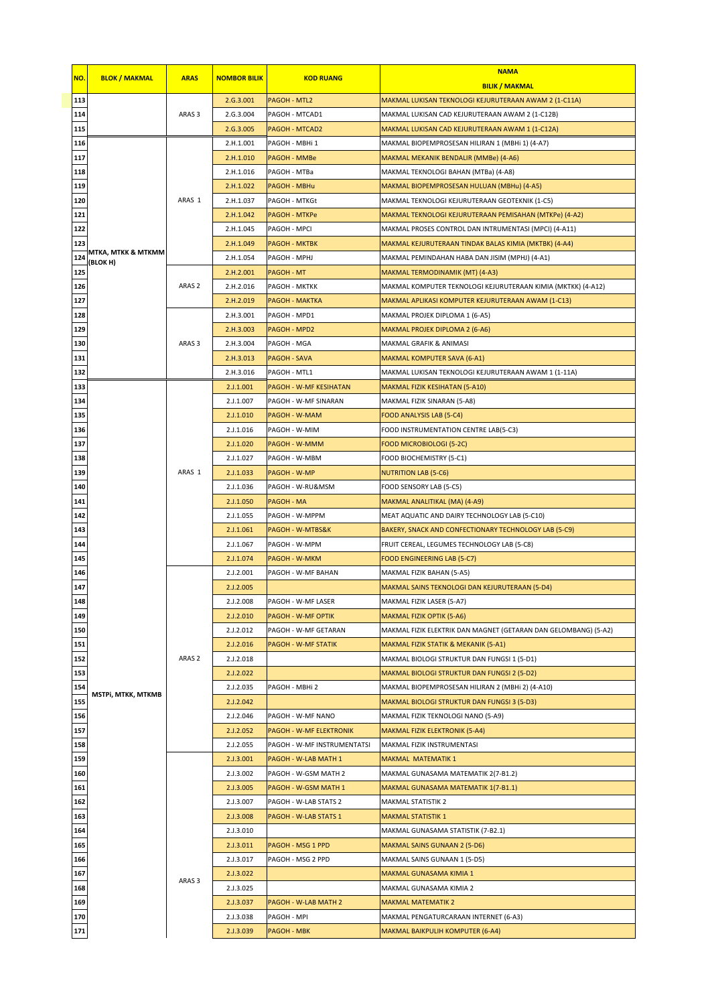| NO.        | <b>BLOK / MAKMAL</b>           | <b>ARAS</b>       | <b>NOMBOR BILIK</b> | <b>KOD RUANG</b>                            | <b>NAMA</b>                                                     |
|------------|--------------------------------|-------------------|---------------------|---------------------------------------------|-----------------------------------------------------------------|
|            |                                |                   |                     |                                             | <b>BILIK / MAKMAL</b>                                           |
| 113        |                                |                   | 2.G.3.001           | PAGOH - MTL2                                | MAKMAL LUKISAN TEKNOLOGI KEJURUTERAAN AWAM 2 (1-C11A)           |
| 114        |                                | ARAS <sub>3</sub> | 2.G.3.004           | PAGOH - MTCAD1                              | MAKMAL LUKISAN CAD KEJURUTERAAN AWAM 2 (1-C12B)                 |
| 115        |                                |                   | 2.G.3.005           | <b>PAGOH - MTCAD2</b>                       | MAKMAL LUKISAN CAD KEJURUTERAAN AWAM 1 (1-C12A)                 |
| 116        | MTKA, MTKK & MTKMM<br>(BLOK H) |                   | 2.H.1.001           | PAGOH - MBHi 1                              | MAKMAL BIOPEMPROSESAN HILIRAN 1 (MBHi 1) (4-A7)                 |
| 117        |                                | ARAS 1            | 2.H.1.010           | PAGOH - MMBe                                | MAKMAL MEKANIK BENDALIR (MMBe) (4-A6)                           |
| 118        |                                |                   | 2.H.1.016           | PAGOH - MTBa                                | MAKMAL TEKNOLOGI BAHAN (MTBa) (4-A8)                            |
| 119        |                                |                   | 2.H.1.022           | PAGOH - MBHu                                | MAKMAL BIOPEMPROSESAN HULUAN (MBHu) (4-A5)                      |
| 120        |                                |                   | 2.H.1.037           | PAGOH - MTKGt                               | MAKMAL TEKNOLOGI KEJURUTERAAN GEOTEKNIK (1-C5)                  |
| 121        |                                |                   | 2.H.1.042           | <b>PAGOH - MTKPe</b>                        | MAKMAL TEKNOLOGI KEJURUTERAAN PEMISAHAN (MTKPe) (4-A2)          |
| 122        |                                |                   | 2.H.1.045           | PAGOH - MPCI                                | MAKMAL PROSES CONTROL DAN INTRUMENTASI (MPCI) (4-A11)           |
| 123        |                                |                   | 2.H.1.049           | <b>PAGOH - MKTBK</b>                        | MAKMAL KEJURUTERAAN TINDAK BALAS KIMIA (MKTBK) (4-A4)           |
| 124        |                                |                   | 2.H.1.054           | PAGOH - MPHJ                                | MAKMAL PEMINDAHAN HABA DAN JISIM (MPHJ) (4-A1)                  |
| 125        |                                | ARAS <sub>2</sub> | 2.H.2.001           | PAGOH - MT                                  | MAKMAL TERMODINAMIK (MT) (4-A3)                                 |
| 126        |                                |                   | 2.H.2.016           | PAGOH - MKTKK                               | MAKMAL KOMPUTER TEKNOLOGI KEJURUTERAAN KIMIA (MKTKK) (4-A12)    |
| 127        |                                |                   | 2.H.2.019           | <b>PAGOH - MAKTKA</b>                       | MAKMAL APLIKASI KOMPUTER KEJURUTERAAN AWAM (1-C13)              |
| 128        |                                |                   | 2.H.3.001           | PAGOH - MPD1                                | MAKMAL PROJEK DIPLOMA 1 (6-A5)                                  |
| 129        |                                |                   | 2.H.3.003           | PAGOH - MPD2                                | MAKMAL PROJEK DIPLOMA 2 (6-A6)                                  |
| 130        |                                | ARAS <sub>3</sub> | 2.H.3.004           | PAGOH - MGA                                 | MAKMAL GRAFIK & ANIMASI                                         |
| 131        |                                |                   | 2.H.3.013           | PAGOH - SAVA                                | MAKMAL KOMPUTER SAVA (6-A1)                                     |
| 132        |                                |                   | 2.H.3.016           | PAGOH - MTL1                                | MAKMAL LUKISAN TEKNOLOGI KEJURUTERAAN AWAM 1 (1-11A)            |
| 133        |                                |                   | 2.J.1.001           | PAGOH - W-MF KESIHATAN                      | MAKMAL FIZIK KESIHATAN (5-A10)                                  |
| 134        |                                |                   | 2.J.1.007           | PAGOH - W-MF SINARAN                        | MAKMAL FIZIK SINARAN (5-A8)                                     |
| 135        |                                |                   | 2.J.1.010           | PAGOH - W-MAM                               | FOOD ANALYSIS LAB (5-C4)                                        |
| 136        |                                |                   | 2.J.1.016           | PAGOH - W-MIM                               | FOOD INSTRUMENTATION CENTRE LAB(5-C3)                           |
| 137        |                                |                   | 2.J.1.020           | PAGOH - W-MMM                               | FOOD MICROBIOLOGI (5-2C)                                        |
| 138        |                                |                   | 2.J.1.027           | PAGOH - W-MBM                               | FOOD BIOCHEMISTRY (5-C1)                                        |
| 139        |                                | ARAS 1            | 2.J.1.033           | PAGOH - W-MP                                | NUTRITION LAB (5-C6)                                            |
| 140        |                                |                   | 2.J.1.036           | PAGOH - W-RU&MSM                            | FOOD SENSORY LAB (5-C5)                                         |
| 141        |                                |                   | 2.J.1.050           | PAGOH - MA                                  | MAKMAL ANALITIKAL (MA) (4-A9)                                   |
| 142        |                                |                   | 2.J.1.055           | PAGOH - W-MPPM                              | MEAT AQUATIC AND DAIRY TECHNOLOGY LAB (5-C10)                   |
| 143        |                                |                   | 2.J.1.061           | PAGOH - W-MTBS&K                            | BAKERY, SNACK AND CONFECTIONARY TECHNOLOGY LAB (5-C9)           |
| 144        |                                |                   | 2.J.1.067           | PAGOH - W-MPM                               | FRUIT CEREAL, LEGUMES TECHNOLOGY LAB (5-C8)                     |
| 145        |                                |                   | 2.J.1.074           | PAGOH - W-MKM                               | FOOD ENGINEERING LAB (5-C7)                                     |
| 146        |                                |                   | 2.J.2.001           | PAGOH - W-MF BAHAN                          | MAKMAL FIZIK BAHAN (5-A5)                                       |
| 147        |                                |                   | 2.J.2.005           |                                             | MAKMAL SAINS TEKNOLOGI DAN KEJURUTERAAN (5-D4)                  |
|            |                                |                   | 2.J.2.008           | PAGOH - W-MF LASER                          | MAKMAL FIZIK LASER (5-A7)                                       |
| 148<br>149 |                                | ARAS <sub>2</sub> | 2.J.2.010           |                                             |                                                                 |
|            |                                |                   | 2.J.2.012           | PAGOH - W-MF OPTIK                          | <b>MAKMAL FIZIK OPTIK (5-A6)</b>                                |
| 150        |                                |                   |                     | PAGOH - W-MF GETARAN<br>PAGOH - W-MF STATIK | MAKMAL FIZIK ELEKTRIK DAN MAGNET (GETARAN DAN GELOMBANG) (5-A2) |
| 151        |                                |                   | 2.J.2.016           |                                             | MAKMAL FIZIK STATIK & MEKANIK (5-A1)                            |
| 152        |                                |                   | 2.J.2.018           |                                             | MAKMAL BIOLOGI STRUKTUR DAN FUNGSI 1 (5-D1)                     |
| 153        |                                |                   | 2.J.2.022           |                                             | MAKMAL BIOLOGI STRUKTUR DAN FUNGSI 2 (5-D2)                     |
| 154        | MSTPi, MTKK, MTKMB             |                   | 2.J.2.035           | PAGOH - MBHi 2                              | MAKMAL BIOPEMPROSESAN HILIRAN 2 (MBHi 2) (4-A10)                |
| 155        |                                |                   | 2.J.2.042           |                                             | MAKMAL BIOLOGI STRUKTUR DAN FUNGSI 3 (5-D3)                     |
| 156        |                                |                   | 2.J.2.046           | PAGOH - W-MF NANO                           | MAKMAL FIZIK TEKNOLOGI NANO (5-A9)                              |
| 157        |                                |                   | 2.J.2.052           | PAGOH - W-MF ELEKTRONIK                     | MAKMAL FIZIK ELEKTRONIK (5-A4)                                  |
| 158        |                                | ARAS <sub>3</sub> | 2.J.2.055           | PAGOH - W-MF INSTRUMENTATSI                 | MAKMAL FIZIK INSTRUMENTASI                                      |
| 159        |                                |                   | 2.J.3.001           | PAGOH - W-LAB MATH 1                        | MAKMAL MATEMATIK 1                                              |
| 160        |                                |                   | 2.J.3.002           | PAGOH - W-GSM MATH 2                        | MAKMAL GUNASAMA MATEMATIK 2(7-B1.2)                             |
| 161        |                                |                   | 2.J.3.005           | PAGOH - W-GSM MATH 1                        | MAKMAL GUNASAMA MATEMATIK 1(7-B1.1)                             |
| 162        |                                |                   | 2.J.3.007           | PAGOH - W-LAB STATS 2                       | <b>MAKMAL STATISTIK 2</b>                                       |
| 163        |                                |                   | 2.J.3.008           | PAGOH - W-LAB STATS 1                       | MAKMAL STATISTIK 1                                              |
| 164        |                                |                   | 2.J.3.010           |                                             | MAKMAL GUNASAMA STATISTIK (7-B2.1)                              |
| 165        |                                |                   | 2.J.3.011           | PAGOH - MSG 1 PPD                           | <b>MAKMAL SAINS GUNAAN 2 (5-D6)</b>                             |
| 166        |                                |                   | 2.J.3.017           | PAGOH - MSG 2 PPD                           | MAKMAL SAINS GUNAAN 1 (5-D5)                                    |
| 167        |                                |                   | 2.J.3.022           |                                             | MAKMAL GUNASAMA KIMIA 1                                         |
| 168        |                                |                   | 2.J.3.025           |                                             | MAKMAL GUNASAMA KIMIA 2                                         |
| 169        |                                |                   | 2.J.3.037           | PAGOH - W-LAB MATH 2                        | MAKMAL MATEMATIK 2                                              |
| 170        |                                |                   | 2.J.3.038           | PAGOH - MPI                                 | MAKMAL PENGATURCARAAN INTERNET (6-A3)                           |
| 171        |                                |                   | 2.J.3.039           | <b>PAGOH - MBK</b>                          | MAKMAL BAIKPULIH KOMPUTER (6-A4)                                |